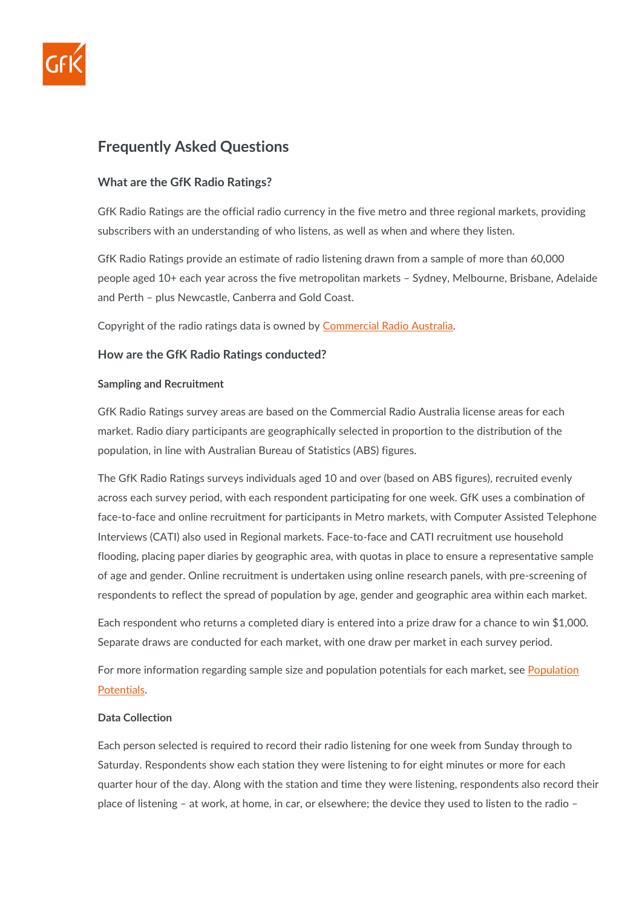

# **Frequently Asked Questions**

## **What are the GfK Radio Ratings?**

GfK Radio Ratings are the official radio currency in the five metro and three regional markets, providing subscribers with an understanding of who listens, as well as when and where they listen.

GfK Radio Ratings provide an estimate of radio listening drawn from a sample of more than 60,000 people aged 10+ each year across the five metropolitan markets – Sydney, Melbourne, Brisbane, Adelaide and Perth – plus Newcastle, Canberra and Gold Coast.

Copyright of the radio ratings data is owned by [Commercial Radio Australia.](https://www.gfk.com/hubfs/ANZ%20MEDIA/AU/Resources/2022/Commercial%20Radio%20Australia.pdf)

## **How are the GfK Radio Ratings conducted?**

#### **Sampling and Recruitment**

GfK Radio Ratings survey areas are based on the Commercial Radio Australia license areas for each market. Radio diary participants are geographically selected in proportion to the distribution of the population, in line with Australian Bureau of Statistics (ABS) figures.

The GfK Radio Ratings surveys individuals aged 10 and over (based on ABS figures), recruited evenly across each survey period, with each respondent participating for one week. GfK uses a combination of face-to-face and online recruitment for participants in Metro markets, with Computer Assisted Telephone Interviews (CATI) also used in Regional markets. Face-to-face and CATI recruitment use household flooding, placing paper diaries by geographic area, with quotas in place to ensure a representative sample of age and gender. Online recruitment is undertaken using online research panels, with pre-screening of respondents to reflect the spread of population by age, gender and geographic area within each market.

Each respondent who returns a completed diary is entered into a prize draw for a chance to win \$1,000. Separate draws are conducted for each market, with one draw per market in each survey period.

For more information regarding sample size and population potentials for each market, see Population [Potentials.](https://www.gfk.com/hubfs/ANZ%20MEDIA/AU/Resources/2022/GfK_AU%20Population%20Potentials_2022.pdf)

#### **Data Collection**

Each person selected is required to record their radio listening for one week from Sunday through to Saturday. Respondents show each station they were listening to for eight minutes or more for each quarter hour of the day. Along with the station and time they were listening, respondents also record their place of listening – at work, at home, in car, or elsewhere; the device they used to listen to the radio –